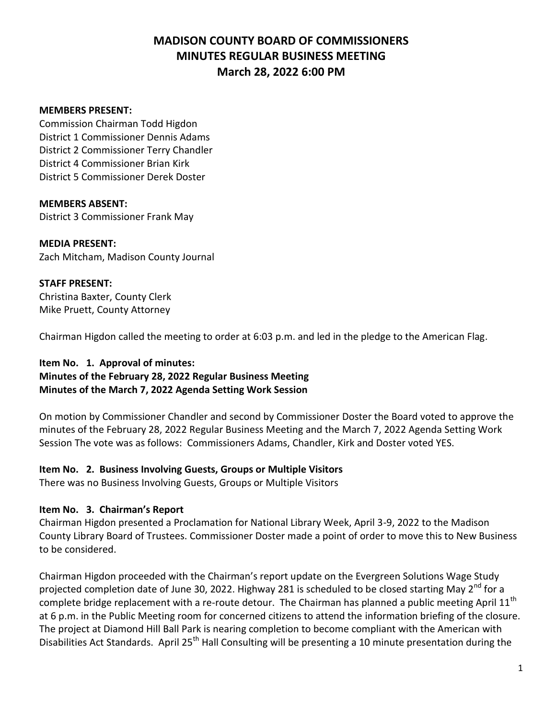### **MEMBERS PRESENT:**

Commission Chairman Todd Higdon District 1 Commissioner Dennis Adams District 2 Commissioner Terry Chandler District 4 Commissioner Brian Kirk District 5 Commissioner Derek Doster

**MEMBERS ABSENT:** District 3 Commissioner Frank May

### **MEDIA PRESENT:**

Zach Mitcham, Madison County Journal

### **STAFF PRESENT:**

Christina Baxter, County Clerk Mike Pruett, County Attorney

Chairman Higdon called the meeting to order at 6:03 p.m. and led in the pledge to the American Flag.

## **Item No. 1. Approval of minutes:**

### **Minutes of the February 28, 2022 Regular Business Meeting Minutes of the March 7, 2022 Agenda Setting Work Session**

On motion by Commissioner Chandler and second by Commissioner Doster the Board voted to approve the minutes of the February 28, 2022 Regular Business Meeting and the March 7, 2022 Agenda Setting Work Session The vote was as follows: Commissioners Adams, Chandler, Kirk and Doster voted YES.

### **Item No. 2. Business Involving Guests, Groups or Multiple Visitors**

There was no Business Involving Guests, Groups or Multiple Visitors

### **Item No. 3. Chairman's Report**

Chairman Higdon presented a Proclamation for National Library Week, April 3-9, 2022 to the Madison County Library Board of Trustees. Commissioner Doster made a point of order to move this to New Business to be considered.

Chairman Higdon proceeded with the Chairman's report update on the Evergreen Solutions Wage Study projected completion date of June 30, 2022. Highway 281 is scheduled to be closed starting May 2<sup>nd</sup> for a complete bridge replacement with a re-route detour. The Chairman has planned a public meeting April 11<sup>th</sup> at 6 p.m. in the Public Meeting room for concerned citizens to attend the information briefing of the closure. The project at Diamond Hill Ball Park is nearing completion to become compliant with the American with Disabilities Act Standards. April 25<sup>th</sup> Hall Consulting will be presenting a 10 minute presentation during the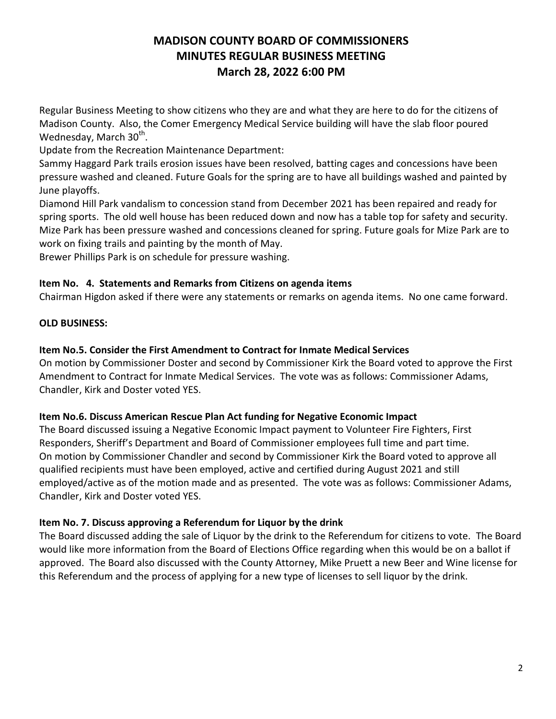Regular Business Meeting to show citizens who they are and what they are here to do for the citizens of Madison County. Also, the Comer Emergency Medical Service building will have the slab floor poured Wednesday, March 30<sup>th</sup>.

Update from the Recreation Maintenance Department:

Sammy Haggard Park trails erosion issues have been resolved, batting cages and concessions have been pressure washed and cleaned. Future Goals for the spring are to have all buildings washed and painted by June playoffs.

Diamond Hill Park vandalism to concession stand from December 2021 has been repaired and ready for spring sports. The old well house has been reduced down and now has a table top for safety and security. Mize Park has been pressure washed and concessions cleaned for spring. Future goals for Mize Park are to work on fixing trails and painting by the month of May.

Brewer Phillips Park is on schedule for pressure washing.

## **Item No. 4. Statements and Remarks from Citizens on agenda items**

Chairman Higdon asked if there were any statements or remarks on agenda items. No one came forward.

## **OLD BUSINESS:**

## **Item No.5. Consider the First Amendment to Contract for Inmate Medical Services**

On motion by Commissioner Doster and second by Commissioner Kirk the Board voted to approve the First Amendment to Contract for Inmate Medical Services. The vote was as follows: Commissioner Adams, Chandler, Kirk and Doster voted YES.

### **Item No.6. Discuss American Rescue Plan Act funding for Negative Economic Impact**

The Board discussed issuing a Negative Economic Impact payment to Volunteer Fire Fighters, First Responders, Sheriff's Department and Board of Commissioner employees full time and part time. On motion by Commissioner Chandler and second by Commissioner Kirk the Board voted to approve all qualified recipients must have been employed, active and certified during August 2021 and still employed/active as of the motion made and as presented. The vote was as follows: Commissioner Adams, Chandler, Kirk and Doster voted YES.

## **Item No. 7. Discuss approving a Referendum for Liquor by the drink**

The Board discussed adding the sale of Liquor by the drink to the Referendum for citizens to vote. The Board would like more information from the Board of Elections Office regarding when this would be on a ballot if approved. The Board also discussed with the County Attorney, Mike Pruett a new Beer and Wine license for this Referendum and the process of applying for a new type of licenses to sell liquor by the drink.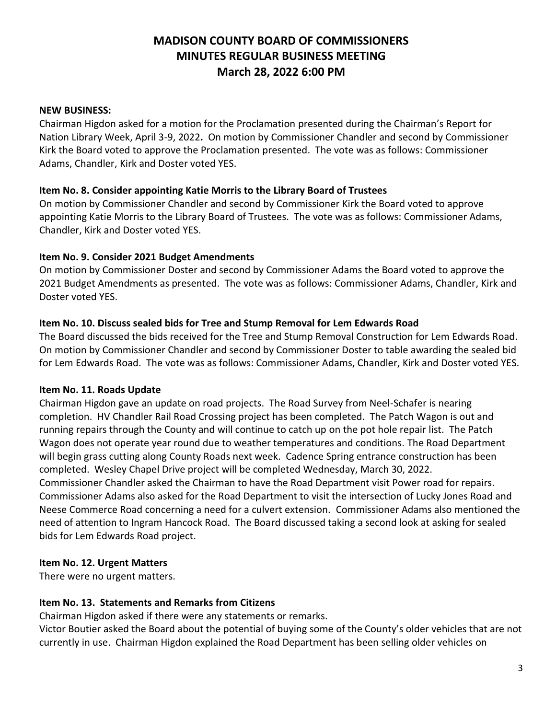### **NEW BUSINESS:**

Chairman Higdon asked for a motion for the Proclamation presented during the Chairman's Report for Nation Library Week, April 3-9, 2022**.** On motion by Commissioner Chandler and second by Commissioner Kirk the Board voted to approve the Proclamation presented. The vote was as follows: Commissioner Adams, Chandler, Kirk and Doster voted YES.

### **Item No. 8. Consider appointing Katie Morris to the Library Board of Trustees**

On motion by Commissioner Chandler and second by Commissioner Kirk the Board voted to approve appointing Katie Morris to the Library Board of Trustees. The vote was as follows: Commissioner Adams, Chandler, Kirk and Doster voted YES.

### **Item No. 9. Consider 2021 Budget Amendments**

On motion by Commissioner Doster and second by Commissioner Adams the Board voted to approve the 2021 Budget Amendments as presented. The vote was as follows: Commissioner Adams, Chandler, Kirk and Doster voted YES.

### **Item No. 10. Discuss sealed bids for Tree and Stump Removal for Lem Edwards Road**

The Board discussed the bids received for the Tree and Stump Removal Construction for Lem Edwards Road. On motion by Commissioner Chandler and second by Commissioner Doster to table awarding the sealed bid for Lem Edwards Road. The vote was as follows: Commissioner Adams, Chandler, Kirk and Doster voted YES.

### **Item No. 11. Roads Update**

Chairman Higdon gave an update on road projects. The Road Survey from Neel-Schafer is nearing completion. HV Chandler Rail Road Crossing project has been completed. The Patch Wagon is out and running repairs through the County and will continue to catch up on the pot hole repair list. The Patch Wagon does not operate year round due to weather temperatures and conditions. The Road Department will begin grass cutting along County Roads next week. Cadence Spring entrance construction has been completed. Wesley Chapel Drive project will be completed Wednesday, March 30, 2022. Commissioner Chandler asked the Chairman to have the Road Department visit Power road for repairs. Commissioner Adams also asked for the Road Department to visit the intersection of Lucky Jones Road and Neese Commerce Road concerning a need for a culvert extension. Commissioner Adams also mentioned the need of attention to Ingram Hancock Road. The Board discussed taking a second look at asking for sealed bids for Lem Edwards Road project.

### **Item No. 12. Urgent Matters**

There were no urgent matters.

### **Item No. 13. Statements and Remarks from Citizens**

Chairman Higdon asked if there were any statements or remarks.

Victor Boutier asked the Board about the potential of buying some of the County's older vehicles that are not currently in use. Chairman Higdon explained the Road Department has been selling older vehicles on